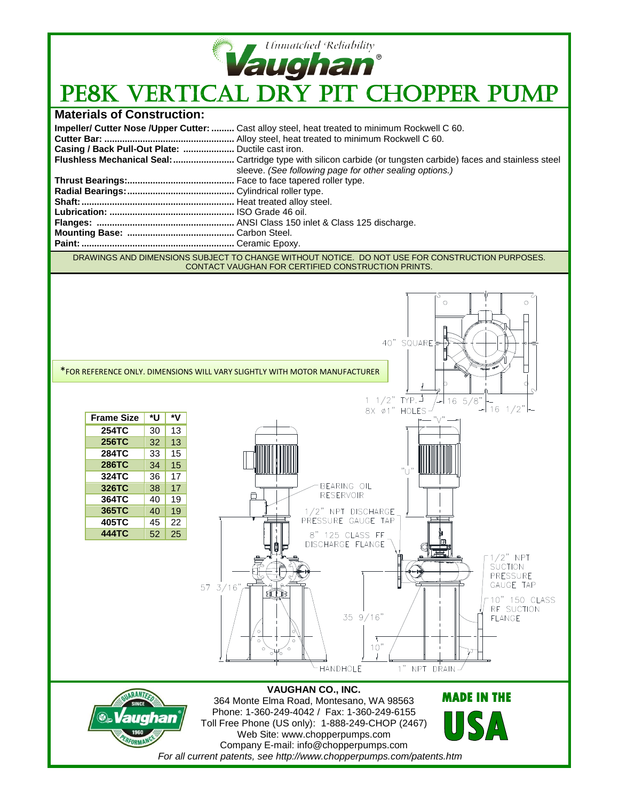

## Vaughan<sup>®</sup><br>PE8K VERTICAL DRY PIT CHOPPER PUMP

## **Materials of Construction:**

|                                                   | Impeller/ Cutter Nose /Upper Cutter:  Cast alloy steel, heat treated to minimum Rockwell C 60. |
|---------------------------------------------------|------------------------------------------------------------------------------------------------|
|                                                   |                                                                                                |
| Casing / Back Pull-Out Plate:  Ductile cast iron. |                                                                                                |
|                                                   |                                                                                                |
|                                                   | sleeve. (See following page for other sealing options.)                                        |
|                                                   |                                                                                                |
|                                                   |                                                                                                |
|                                                   |                                                                                                |
|                                                   |                                                                                                |
|                                                   |                                                                                                |
|                                                   |                                                                                                |
|                                                   |                                                                                                |
|                                                   |                                                                                                |

DRAWINGS AND DIMENSIONS SUBJECT TO CHANGE WITHOUT NOTICE. DO NOT USE FOR CONSTRUCTION PURPOSES. CONTACT VAUGHAN FOR CERTIFIED CONSTRUCTION PRINTS.